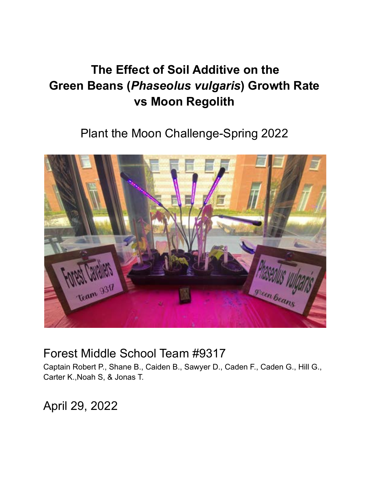# **The Effect of Soil Additive on the Green Beans (***Phaseolus vulgaris***) Growth Rate vs Moon Regolith**

Plant the Moon Challenge-Spring 2022



# Forest Middle School Team #9317

Captain Robert P., Shane B., Caiden B., Sawyer D., Caden F., Caden G., Hill G., Carter K.,Noah S, & Jonas T.

April 29, 2022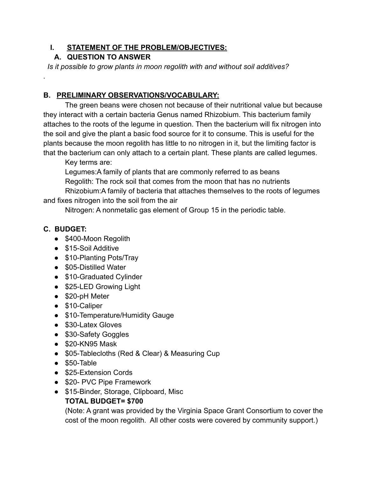#### **I. STATEMENT OF THE PROBLEM/OBJECTIVES:**

#### **A. QUESTION TO ANSWER**

*Is it possible to grow plants in moon regolith with and without soil additives?*

#### **B. PRELIMINARY OBSERVATIONS/VOCABULARY:**

The green beans were chosen not because of their nutritional value but because they interact with a certain bacteria Genus named Rhizobium. This bacterium family attaches to the roots of the legume in question. Then the bacterium will fix nitrogen into the soil and give the plant a basic food source for it to consume. This is useful for the plants because the moon regolith has little to no nitrogen in it, but the limiting factor is that the bacterium can only attach to a certain plant. These plants are called legumes.

Key terms are:

Legumes:A family of plants that are commonly referred to as beans Regolith: The rock soil that comes from the moon that has no nutrients Rhizobium:A family of bacteria that attaches themselves to the roots of legumes and fixes nitrogen into the soil from the air

Nitrogen: A nonmetalic gas element of Group 15 in the periodic table.

#### **C. BUDGET:**

*.*

- \$400-Moon Regolith
- \$15-Soil Additive
- \$10-Planting Pots/Tray
- \$05-Distilled Water
- \$10-Graduated Cylinder
- \$25-LED Growing Light
- \$20-pH Meter
- \$10-Caliper
- \$10-Temperature/Humidity Gauge
- \$30-Latex Gloves
- \$30-Safety Goggles
- $\bullet$  \$20-KN95 Mask
- \$05-Tablecloths (Red & Clear) & Measuring Cup
- \$50-Table
- \$25-Extension Cords
- \$20- PVC Pipe Framework
- \$15-Binder, Storage, Clipboard, Misc

#### **TOTAL BUDGET= \$700**

(Note: A grant was provided by the Virginia Space Grant Consortium to cover the cost of the moon regolith. All other costs were covered by community support.)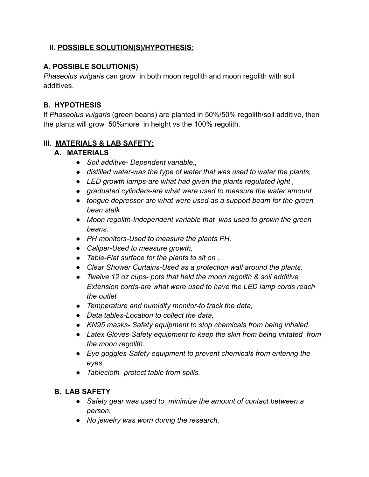#### **II. POSSIBLE SOLUTION(S)/HYPOTHESIS:**

#### **A. POSSIBLE SOLUTION(S)**

*Phaseolus vulgari*s can grow in both moon regolith and moon regolith with soil additives.

#### **B. HYPOTHESIS**

If *Phaseolus vulgaris* (green beans) are planted in 50%/50% regolith/soil additive, then the plants will grow 50%more in height vs the 100% regolith.

#### **III. MATERIALS & LAB SAFETY:**

#### **A. MATERIALS**

- *Soil additive- Dependent variable.,*
- *distilled water-was the type of water that was used to water the plants,*
- *LED growth lamps-are what had given the plants regulated light ,*
- *graduated cylinders-are what were used to measure the water amount*
- *tongue depressor-are what were used as a support beam for the green bean stalk*
- *Moon regolith-Independent variable that was used to grown the green beans.*
- *PH monitors-Used to measure the plants PH,*
- *Caliper-Used to measure growth,*
- *Table-Flat surface for the plants to sit on .*
- *Clear Shower Curtains-Used as a protection wall around the plants,*
- *Twelve 12 oz cups- pots that held the moon regolith & soil additive Extension cords-are what were used to have the LED lamp cords reach the outlet*
- *Temperature and humidity monitor-to track the data,*
- *Data tables-Location to collect the data,*
- *KN95 masks- Safety equipment to stop chemicals from being inhaled.*
- *Latex Gloves-Safety equipment to keep the skin from being irritated from the moon regolith.*
- *Eye goggles-Safety equipment to prevent chemicals from entering the eyes*
- *Tablecloth- protect table from spills.*

#### **B. LAB SAFETY**

- *Safety gear was used to minimize the amount of contact between a person.*
- *No jewelry was worn during the research.*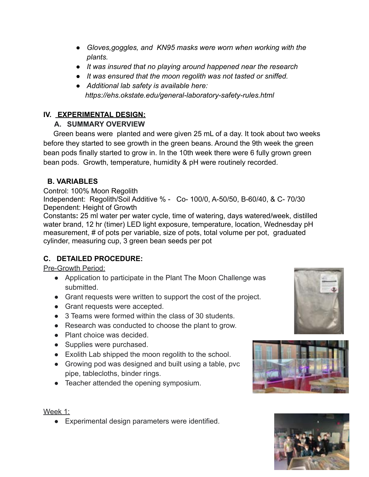- *Gloves,goggles, and KN95 masks were worn when working with the plants.*
- *It was insured that no playing around happened near the research*
- *It was ensured that the moon regolith was not tasted or sniffed.*
- *Additional lab safety is available here: https://ehs.okstate.edu/general-laboratory-safety-rules.html*

# **IV. EXPERIMENTAL DESIGN:**

## **A. SUMMARY OVERVIEW**

Green beans were planted and were given 25 mL of a day. It took about two weeks before they started to see growth in the green beans. Around the 9th week the green bean pods finally started to grow in. In the 10th week there were 6 fully grown green bean pods. Growth, temperature, humidity & pH were routinely recorded.

# **B. VARIABLES**

Control: 100% Moon Regolith

Independent: Regolith/Soil Additive % - Co- 100/0, A-50/50, B-60/40, & C- 70/30 Dependent: Height of Growth

Constants**:** 25 ml water per water cycle, time of watering, days watered/week, distilled water brand, 12 hr (timer) LED light exposure, temperature, location, Wednesday pH measurement, # of pots per variable, size of pots, total volume per pot, graduated cylinder, measuring cup, 3 green bean seeds per pot

# **C. DETAILED PROCEDURE:**

#### Pre-Growth Period:

- Application to participate in the Plant The Moon Challenge was submitted.
- Grant requests were written to support the cost of the project.
- Grant requests were accepted.
- 3 Teams were formed within the class of 30 students.
- Research was conducted to choose the plant to grow.
- Plant choice was decided.
- Supplies were purchased.
- Exolith Lab shipped the moon regolith to the school.
- Growing pod was designed and built using a table, pvc pipe, tablecloths, binder rings.
- Teacher attended the opening symposium.







#### Week 1:

● Experimental design parameters were identified.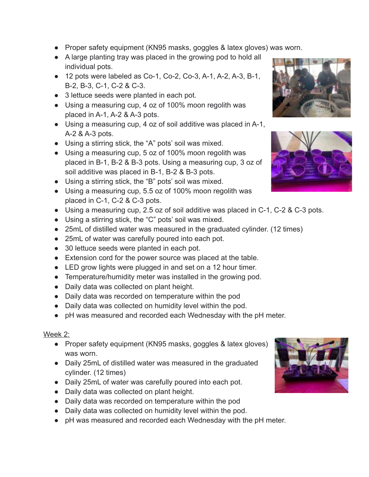- Proper safety equipment (KN95 masks, goggles & latex gloves) was worn.
- A large planting tray was placed in the growing pod to hold all individual pots.
- $\bullet$  12 pots were labeled as Co-1, Co-2, Co-3, A-1, A-2, A-3, B-1, B-2, B-3, C-1, C-2 & C-3.
- 3 lettuce seeds were planted in each pot.
- Using a measuring cup, 4 oz of 100% moon regolith was placed in A-1, A-2 & A-3 pots.
- Using a measuring cup, 4 oz of soil additive was placed in A-1, A-2 & A-3 pots.
- Using a stirring stick, the "A" pots' soil was mixed.
- Using a measuring cup, 5 oz of 100% moon regolith was placed in B-1, B-2 & B-3 pots. Using a measuring cup, 3 oz of soil additive was placed in B-1, B-2 & B-3 pots.
- Using a stirring stick, the "B" pots' soil was mixed.
- Using a measuring cup, 5.5 oz of 100% moon regolith was placed in C-1, C-2 & C-3 pots.
- Using a measuring cup, 2.5 oz of soil additive was placed in C-1, C-2 & C-3 pots.
- Using a stirring stick, the "C" pots' soil was mixed.
- 25mL of distilled water was measured in the graduated cylinder. (12 times)
- 25mL of water was carefully poured into each pot.
- 30 lettuce seeds were planted in each pot.
- Extension cord for the power source was placed at the table.
- LED grow lights were plugged in and set on a 12 hour timer.
- Temperature/humidity meter was installed in the growing pod.
- Daily data was collected on plant height.
- Daily data was recorded on temperature within the pod
- Daily data was collected on humidity level within the pod.
- pH was measured and recorded each Wednesday with the pH meter.

#### Week 2:

- Proper safety equipment (KN95 masks, goggles & latex gloves) was worn.
- Daily 25mL of distilled water was measured in the graduated cylinder. (12 times)
- Daily 25mL of water was carefully poured into each pot.
- Daily data was collected on plant height.
- Daily data was recorded on temperature within the pod
- Daily data was collected on humidity level within the pod.
- pH was measured and recorded each Wednesday with the pH meter.





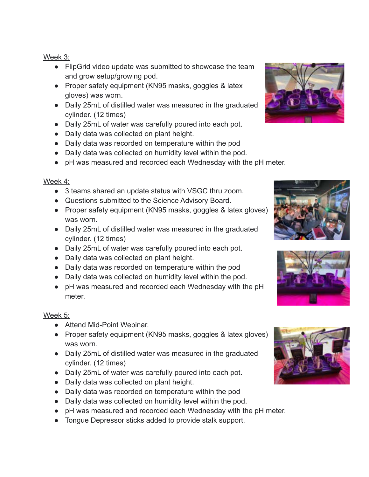#### Week 3:

- FlipGrid video update was submitted to showcase the team and grow setup/growing pod.
- Proper safety equipment (KN95 masks, goggles & latex gloves) was worn.
- Daily 25mL of distilled water was measured in the graduated cylinder. (12 times)
- Daily 25mL of water was carefully poured into each pot.
- Daily data was collected on plant height.
- Daily data was recorded on temperature within the pod
- Daily data was collected on humidity level within the pod.
- pH was measured and recorded each Wednesday with the pH meter.

## Week 4:

- 3 teams shared an update status with VSGC thru zoom.
- Questions submitted to the Science Advisory Board.
- Proper safety equipment (KN95 masks, goggles & latex gloves) was worn.
- Daily 25mL of distilled water was measured in the graduated cylinder. (12 times)
- Daily 25mL of water was carefully poured into each pot.
- Daily data was collected on plant height.
- Daily data was recorded on temperature within the pod
- Daily data was collected on humidity level within the pod.
- pH was measured and recorded each Wednesday with the pH meter.

# Week 5:

- Attend Mid-Point Webinar.
- Proper safety equipment (KN95 masks, goggles & latex gloves) was worn.
- Daily 25mL of distilled water was measured in the graduated cylinder. (12 times)
- Daily 25mL of water was carefully poured into each pot.
- Daily data was collected on plant height.
- Daily data was recorded on temperature within the pod
- Daily data was collected on humidity level within the pod.
- pH was measured and recorded each Wednesday with the pH meter.
- Tongue Depressor sticks added to provide stalk support.







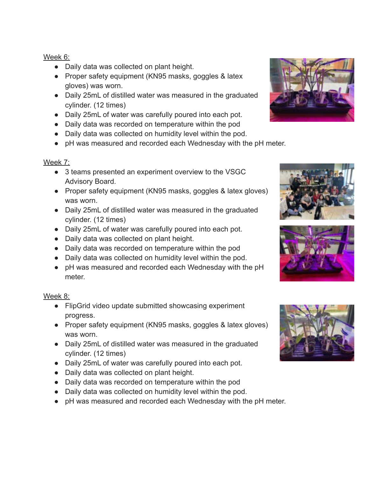#### Week 6:

- Daily data was collected on plant height.
- Proper safety equipment (KN95 masks, goggles & latex gloves) was worn.
- Daily 25mL of distilled water was measured in the graduated cylinder. (12 times)
- Daily 25mL of water was carefully poured into each pot.
- Daily data was recorded on temperature within the pod
- Daily data was collected on humidity level within the pod.
- pH was measured and recorded each Wednesday with the pH meter.

#### Week 7:

- 3 teams presented an experiment overview to the VSGC Advisory Board.
- Proper safety equipment (KN95 masks, goggles & latex gloves) was worn.
- Daily 25mL of distilled water was measured in the graduated cylinder. (12 times)
- Daily 25mL of water was carefully poured into each pot.
- Daily data was collected on plant height.
- Daily data was recorded on temperature within the pod
- Daily data was collected on humidity level within the pod.
- pH was measured and recorded each Wednesday with the pH meter.

#### Week 8:

- FlipGrid video update submitted showcasing experiment progress.
- Proper safety equipment (KN95 masks, goggles & latex gloves) was worn.
- Daily 25mL of distilled water was measured in the graduated cylinder. (12 times)
- Daily 25mL of water was carefully poured into each pot.
- Daily data was collected on plant height.
- Daily data was recorded on temperature within the pod
- Daily data was collected on humidity level within the pod.
- pH was measured and recorded each Wednesday with the pH meter.







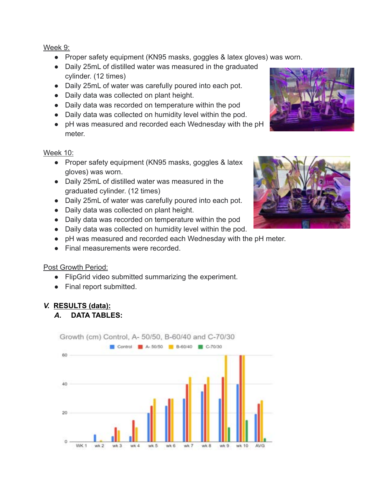Week 9:

- Proper safety equipment (KN95 masks, goggles & latex gloves) was worn.
- Daily 25mL of distilled water was measured in the graduated cylinder. (12 times)
- Daily 25mL of water was carefully poured into each pot.
- Daily data was collected on plant height.
- Daily data was recorded on temperature within the pod
- Daily data was collected on humidity level within the pod.
- pH was measured and recorded each Wednesday with the pH meter.

Week 10:

- Proper safety equipment (KN95 masks, goggles & latex gloves) was worn.
- Daily 25mL of distilled water was measured in the graduated cylinder. (12 times)
- Daily 25mL of water was carefully poured into each pot.
- Daily data was collected on plant height.
- Daily data was recorded on temperature within the pod
- Daily data was collected on humidity level within the pod.
- pH was measured and recorded each Wednesday with the pH meter.
- Final measurements were recorded

Post Growth Period:

- FlipGrid video submitted summarizing the experiment.
- Final report submitted.

# *V.* **RESULTS (data):**

# *A.* **DATA TABLES:**





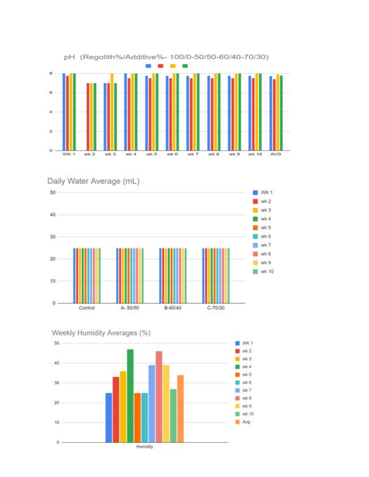

pH (Regolith%/Additive%- 100/0-50/50-60/40-70/30)

Daily Water Average (mL)





Weekly Humidity Averages (%)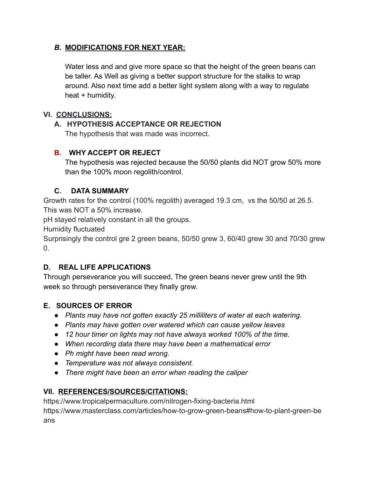#### *B.* **MODIFICATIONS FOR NEXT YEAR:**

Water less and and give more space so that the height of the green beans can be taller. As Well as giving a better support structure for the stalks to wrap around. Also next time add a better light system along with a way to regulate heat + humidity.

#### **VI. CONCLUSIONS:**

# **A. HYPOTHESIS ACCEPTANCE OR REJECTION**

The hypothesis that was made was incorrect.

# **B. WHY ACCEPT OR REJECT**

The hypothesis was rejected because the 50/50 plants did NOT grow 50% more than the 100% moon regolith/control.

## **C. DATA SUMMARY**

Growth rates for the control (100% regolith) averaged 19.3 cm, vs the 50/50 at 26.5. This was NOT a 50% increase.

pH stayed relatively constant in all the groups.

Humidity fluctuated

Surprisingly the control gre 2 green beans, 50/50 grew 3, 60/40 grew 30 and 70/30 grew  $\Omega$ 

# **D. REAL LIFE APPLICATIONS**

Through perseverance you will succeed, The green beans never grew until the 9th week so through perseverance they finally grew.

# **E. SOURCES OF ERROR**

- *Plants may have not gotten exactly 25 milliliters of water at each watering.*
- *Plants may have gotten over watered which can cause yellow leaves*
- *12 hour timer on lights may not have always worked 100% of the time.*
- *When recording data there may have been a mathematical error*
- *Ph might have been read wrong.*
- *Temperature was not always consistent.*
- *There might have been an error when reading the caliper*

# **VII. REFERENCES/SOURCES/CITATIONS:**

<https://www.tropicalpermaculture.com/nitrogen-fixing-bacteria.html> [https://www.masterclass.com/articles/how-to-grow-green-beans#how-to-plant-green-be](https://www.masterclass.com/articles/how-to-grow-green-beans#how-to-plant-green-beans) [ans](https://www.masterclass.com/articles/how-to-grow-green-beans#how-to-plant-green-beans)